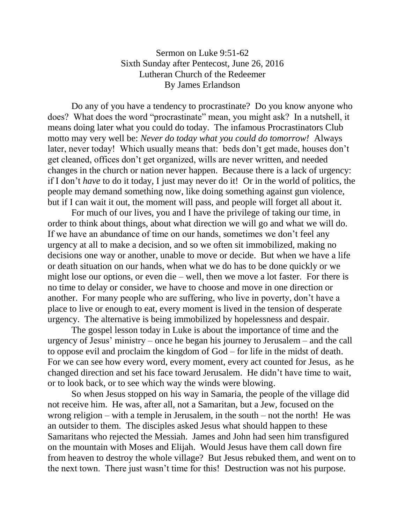## Sermon on Luke 9:51-62 Sixth Sunday after Pentecost, June 26, 2016 Lutheran Church of the Redeemer By James Erlandson

Do any of you have a tendency to procrastinate? Do you know anyone who does? What does the word "procrastinate" mean, you might ask? In a nutshell, it means doing later what you could do today. The infamous Procrastinators Club motto may very well be: *Never do today what you could do tomorrow!* Always later, never today! Which usually means that: beds don't get made, houses don't get cleaned, offices don't get organized, wills are never written, and needed changes in the church or nation never happen. Because there is a lack of urgency: if I don't *have* to do it today, I just may never do it! Or in the world of politics, the people may demand something now, like doing something against gun violence, but if I can wait it out, the moment will pass, and people will forget all about it.

For much of our lives, you and I have the privilege of taking our time, in order to think about things, about what direction we will go and what we will do. If we have an abundance of time on our hands, sometimes we don't feel any urgency at all to make a decision, and so we often sit immobilized, making no decisions one way or another, unable to move or decide. But when we have a life or death situation on our hands, when what we do has to be done quickly or we might lose our options, or even die – well, then we move a lot faster. For there is no time to delay or consider, we have to choose and move in one direction or another. For many people who are suffering, who live in poverty, don't have a place to live or enough to eat, every moment is lived in the tension of desperate urgency. The alternative is being immobilized by hopelessness and despair.

The gospel lesson today in Luke is about the importance of time and the urgency of Jesus' ministry – once he began his journey to Jerusalem – and the call to oppose evil and proclaim the kingdom of God – for life in the midst of death. For we can see how every word, every moment, every act counted for Jesus, as he changed direction and set his face toward Jerusalem. He didn't have time to wait, or to look back, or to see which way the winds were blowing.

So when Jesus stopped on his way in Samaria, the people of the village did not receive him. He was, after all, not a Samaritan, but a Jew, focused on the wrong religion – with a temple in Jerusalem, in the south – not the north! He was an outsider to them. The disciples asked Jesus what should happen to these Samaritans who rejected the Messiah. James and John had seen him transfigured on the mountain with Moses and Elijah. Would Jesus have them call down fire from heaven to destroy the whole village? But Jesus rebuked them, and went on to the next town. There just wasn't time for this! Destruction was not his purpose.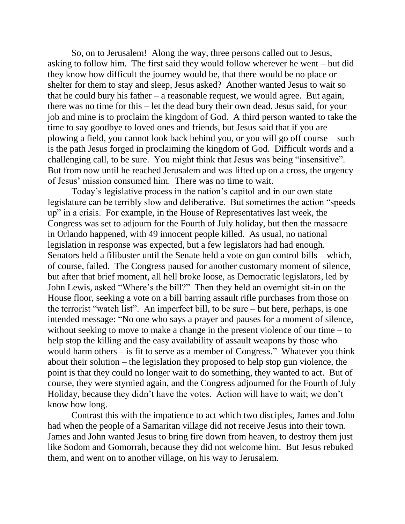So, on to Jerusalem! Along the way, three persons called out to Jesus, asking to follow him. The first said they would follow wherever he went – but did they know how difficult the journey would be, that there would be no place or shelter for them to stay and sleep, Jesus asked? Another wanted Jesus to wait so that he could bury his father  $-$  a reasonable request, we would agree. But again, there was no time for this – let the dead bury their own dead, Jesus said, for your job and mine is to proclaim the kingdom of God. A third person wanted to take the time to say goodbye to loved ones and friends, but Jesus said that if you are plowing a field, you cannot look back behind you, or you will go off course – such is the path Jesus forged in proclaiming the kingdom of God. Difficult words and a challenging call, to be sure. You might think that Jesus was being "insensitive". But from now until he reached Jerusalem and was lifted up on a cross, the urgency of Jesus' mission consumed him. There was no time to wait.

Today's legislative process in the nation's capitol and in our own state legislature can be terribly slow and deliberative. But sometimes the action "speeds up" in a crisis. For example, in the House of Representatives last week, the Congress was set to adjourn for the Fourth of July holiday, but then the massacre in Orlando happened, with 49 innocent people killed. As usual, no national legislation in response was expected, but a few legislators had had enough. Senators held a filibuster until the Senate held a vote on gun control bills – which, of course, failed. The Congress paused for another customary moment of silence, but after that brief moment, all hell broke loose, as Democratic legislators, led by John Lewis, asked "Where's the bill?" Then they held an overnight sit-in on the House floor, seeking a vote on a bill barring assault rifle purchases from those on the terrorist "watch list". An imperfect bill, to be sure – but here, perhaps, is one intended message: "No one who says a prayer and pauses for a moment of silence, without seeking to move to make a change in the present violence of our time – to help stop the killing and the easy availability of assault weapons by those who would harm others – is fit to serve as a member of Congress." Whatever you think about their solution – the legislation they proposed to help stop gun violence, the point is that they could no longer wait to do something, they wanted to act. But of course, they were stymied again, and the Congress adjourned for the Fourth of July Holiday, because they didn't have the votes. Action will have to wait; we don't know how long.

Contrast this with the impatience to act which two disciples, James and John had when the people of a Samaritan village did not receive Jesus into their town. James and John wanted Jesus to bring fire down from heaven, to destroy them just like Sodom and Gomorrah, because they did not welcome him. But Jesus rebuked them, and went on to another village, on his way to Jerusalem.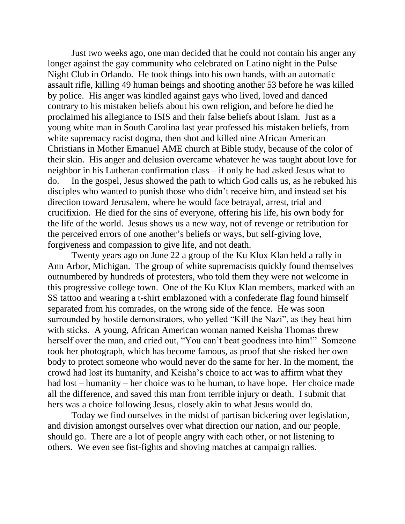Just two weeks ago, one man decided that he could not contain his anger any longer against the gay community who celebrated on Latino night in the Pulse Night Club in Orlando. He took things into his own hands, with an automatic assault rifle, killing 49 human beings and shooting another 53 before he was killed by police. His anger was kindled against gays who lived, loved and danced contrary to his mistaken beliefs about his own religion, and before he died he proclaimed his allegiance to ISIS and their false beliefs about Islam. Just as a young white man in South Carolina last year professed his mistaken beliefs, from white supremacy racist dogma, then shot and killed nine African American Christians in Mother Emanuel AME church at Bible study, because of the color of their skin. His anger and delusion overcame whatever he was taught about love for neighbor in his Lutheran confirmation class – if only he had asked Jesus what to do. In the gospel, Jesus showed the path to which God calls us, as he rebuked his disciples who wanted to punish those who didn't receive him, and instead set his direction toward Jerusalem, where he would face betrayal, arrest, trial and crucifixion. He died for the sins of everyone, offering his life, his own body for the life of the world. Jesus shows us a new way, not of revenge or retribution for the perceived errors of one another's beliefs or ways, but self-giving love, forgiveness and compassion to give life, and not death.

Twenty years ago on June 22 a group of the Ku Klux Klan held a rally in Ann Arbor, Michigan. The group of white supremacists quickly found themselves outnumbered by hundreds of protesters, who told them they were not welcome in this progressive college town. One of the Ku Klux Klan members, marked with an SS tattoo and wearing a t-shirt emblazoned with a confederate flag found himself separated from his comrades, on the wrong side of the fence. He was soon surrounded by hostile demonstrators, who yelled "Kill the Nazi", as they beat him with sticks. A young, African American woman named Keisha Thomas threw herself over the man, and cried out, "You can't beat goodness into him!" Someone took her photograph, which has become famous, as proof that she risked her own body to protect someone who would never do the same for her. In the moment, the crowd had lost its humanity, and Keisha's choice to act was to affirm what they had lost – humanity – her choice was to be human, to have hope. Her choice made all the difference, and saved this man from terrible injury or death. I submit that hers was a choice following Jesus, closely akin to what Jesus would do.

Today we find ourselves in the midst of partisan bickering over legislation, and division amongst ourselves over what direction our nation, and our people, should go. There are a lot of people angry with each other, or not listening to others. We even see fist-fights and shoving matches at campaign rallies.